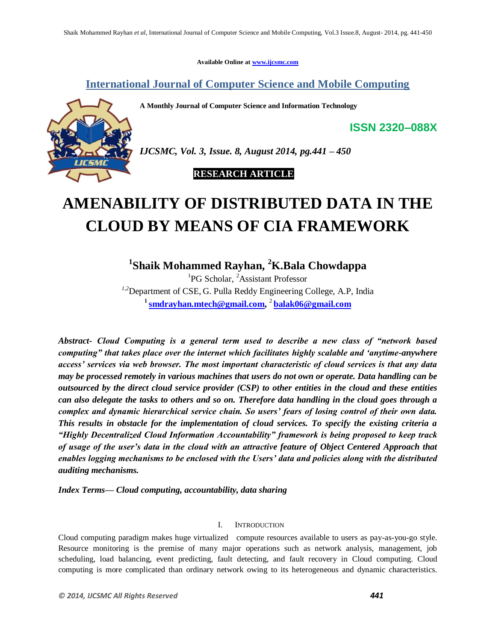**Available Online at www.ijcsmc.com**

**International Journal of Computer Science and Mobile Computing**

**A Monthly Journal of Computer Science and Information Technology**



*IJCSMC, Vol. 3, Issue. 8, August 2014, pg.441 – 450*

# **RESEARCH ARTICLE**

# **AMENABILITY OF DISTRIBUTED DATA IN THE CLOUD BY MEANS OF CIA FRAMEWORK**

**1 Shaik Mohammed Rayhan, <sup>2</sup>K.Bala Chowdappa**

<sup>1</sup>PG Scholar, <sup>2</sup>Assistant Professor *1,2*Department of CSE, G. Pulla Reddy Engineering College, A.P, India **1 smdrayhan.mtech@gmail.com,** 2 **balak06@gmail.com**

*Abstract- Cloud Computing is a general term used to describe a new class of ―network based computing‖ that takes place over the internet which facilitates highly scalable and ‗anytime-anywhere access' services via web browser. The most important characteristic of cloud services is that any data may be processed remotely in various machines that users do not own or operate. Data handling can be outsourced by the direct cloud service provider (CSP) to other entities in the cloud and these entities can also delegate the tasks to others and so on. Therefore data handling in the cloud goes through a complex and dynamic hierarchical service chain. So users' fears of losing control of their own data. This results in obstacle for the implementation of cloud services. To specify the existing criteria a ―Highly Decentralized Cloud Information Accountability‖ framework is being proposed to keep track of usage of the user's data in the cloud with an attractive feature of Object Centered Approach that enables logging mechanisms to be enclosed with the Users' data and policies along with the distributed auditing mechanisms.* 

*Index Terms— Cloud computing, accountability, data sharing*

# I. INTRODUCTION

Cloud computing paradigm makes huge virtualized compute resources available to users as pay-as-you-go style. Resource monitoring is the premise of many major operations such as network analysis, management, job scheduling, load balancing, event predicting, fault detecting, and fault recovery in Cloud computing. Cloud computing is more complicated than ordinary network owing to its heterogeneous and dynamic characteristics.

**ISSN 2320–088X**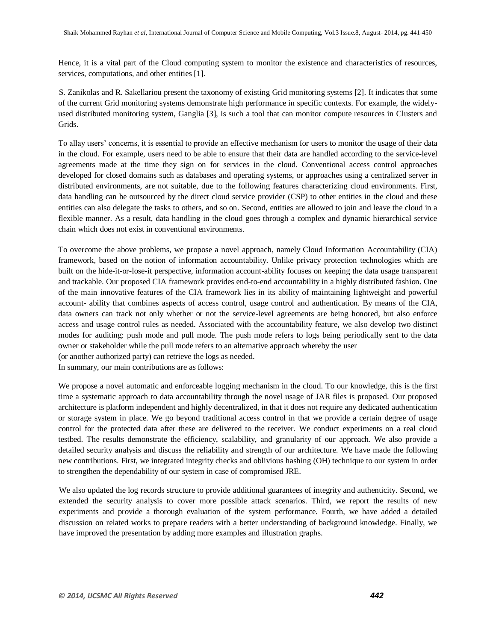Hence, it is a vital part of the Cloud computing system to monitor the existence and characteristics of resources, services, computations, and other entities [1].

S. Zanikolas and R. Sakellariou present the taxonomy of existing Grid monitoring systems [2]. It indicates that some of the current Grid monitoring systems demonstrate high performance in specific contexts. For example, the widelyused distributed monitoring system, Ganglia [3], is such a tool that can monitor compute resources in Clusters and Grids.

To allay users' concerns, it is essential to provide an effective mechanism for users to monitor the usage of their data in the cloud. For example, users need to be able to ensure that their data are handled according to the service-level agreements made at the time they sign on for services in the cloud. Conventional access control approaches developed for closed domains such as databases and operating systems, or approaches using a centralized server in distributed environments, are not suitable, due to the following features characterizing cloud environments. First, data handling can be outsourced by the direct cloud service provider (CSP) to other entities in the cloud and these entities can also delegate the tasks to others, and so on. Second, entities are allowed to join and leave the cloud in a flexible manner. As a result, data handling in the cloud goes through a complex and dynamic hierarchical service chain which does not exist in conventional environments.

To overcome the above problems, we propose a novel approach, namely Cloud Information Accountability (CIA) framework, based on the notion of information accountability. Unlike privacy protection technologies which are built on the hide-it-or-lose-it perspective, information account-ability focuses on keeping the data usage transparent and trackable. Our proposed CIA framework provides end-to-end accountability in a highly distributed fashion. One of the main innovative features of the CIA framework lies in its ability of maintaining lightweight and powerful account- ability that combines aspects of access control, usage control and authentication. By means of the CIA, data owners can track not only whether or not the service-level agreements are being honored, but also enforce access and usage control rules as needed. Associated with the accountability feature, we also develop two distinct modes for auditing: push mode and pull mode. The push mode refers to logs being periodically sent to the data owner or stakeholder while the pull mode refers to an alternative approach whereby the user (or another authorized party) can retrieve the logs as needed.

In summary, our main contributions are as follows:

We propose a novel automatic and enforceable logging mechanism in the cloud. To our knowledge, this is the first time a systematic approach to data accountability through the novel usage of JAR files is proposed. Our proposed architecture is platform independent and highly decentralized, in that it does not require any dedicated authentication or storage system in place. We go beyond traditional access control in that we provide a certain degree of usage control for the protected data after these are delivered to the receiver. We conduct experiments on a real cloud testbed. The results demonstrate the efficiency, scalability, and granularity of our approach. We also provide a detailed security analysis and discuss the reliability and strength of our architecture. We have made the following new contributions. First, we integrated integrity checks and oblivious hashing (OH) technique to our system in order to strengthen the dependability of our system in case of compromised JRE.

We also updated the log records structure to provide additional guarantees of integrity and authenticity. Second, we extended the security analysis to cover more possible attack scenarios. Third, we report the results of new experiments and provide a thorough evaluation of the system performance. Fourth, we have added a detailed discussion on related works to prepare readers with a better understanding of background knowledge. Finally, we have improved the presentation by adding more examples and illustration graphs.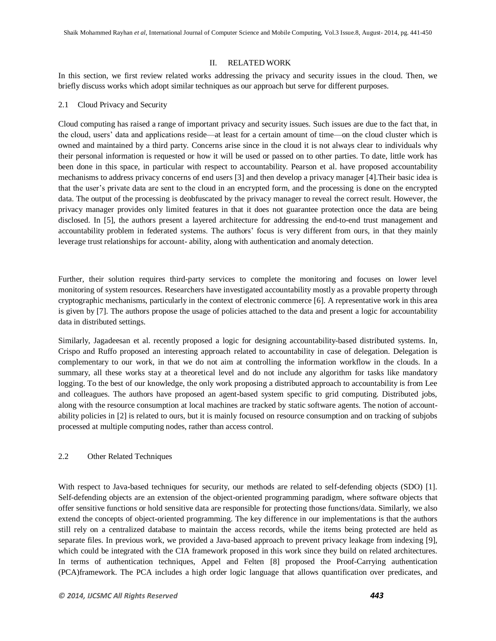#### II. RELATED WORK

In this section, we first review related works addressing the privacy and security issues in the cloud. Then, we briefly discuss works which adopt similar techniques as our approach but serve for different purposes.

#### 2.1 Cloud Privacy and Security

Cloud computing has raised a range of important privacy and security issues. Such issues are due to the fact that, in the cloud, users' data and applications reside—at least for a certain amount of time—on the cloud cluster which is owned and maintained by a third party. Concerns arise since in the cloud it is not always clear to individuals why their personal information is requested or how it will be used or passed on to other parties. To date, little work has been done in this space, in particular with respect to accountability. Pearson et al. have proposed accountability mechanisms to address privacy concerns of end users [3] and then develop a privacy manager [4].Their basic idea is that the user's private data are sent to the cloud in an encrypted form, and the processing is done on the encrypted data. The output of the processing is deobfuscated by the privacy manager to reveal the correct result. However, the privacy manager provides only limited features in that it does not guarantee protection once the data are being disclosed. In [5], the authors present a layered architecture for addressing the end-to-end trust management and accountability problem in federated systems. The authors' focus is very different from ours, in that they mainly leverage trust relationships for account- ability, along with authentication and anomaly detection.

Further, their solution requires third-party services to complete the monitoring and focuses on lower level monitoring of system resources. Researchers have investigated accountability mostly as a provable property through cryptographic mechanisms, particularly in the context of electronic commerce [6]. A representative work in this area is given by [7]. The authors propose the usage of policies attached to the data and present a logic for accountability data in distributed settings.

Similarly, Jagadeesan et al. recently proposed a logic for designing accountability-based distributed systems. In, Crispo and Ruffo proposed an interesting approach related to accountability in case of delegation. Delegation is complementary to our work, in that we do not aim at controlling the information workflow in the clouds. In a summary, all these works stay at a theoretical level and do not include any algorithm for tasks like mandatory logging. To the best of our knowledge, the only work proposing a distributed approach to accountability is from Lee and colleagues. The authors have proposed an agent-based system specific to grid computing. Distributed jobs, along with the resource consumption at local machines are tracked by static software agents. The notion of accountability policies in [2] is related to ours, but it is mainly focused on resource consumption and on tracking of subjobs processed at multiple computing nodes, rather than access control.

#### 2.2 Other Related Techniques

With respect to Java-based techniques for security, our methods are related to self-defending objects (SDO) [1]. Self-defending objects are an extension of the object-oriented programming paradigm, where software objects that offer sensitive functions or hold sensitive data are responsible for protecting those functions/data. Similarly, we also extend the concepts of object-oriented programming. The key difference in our implementations is that the authors still rely on a centralized database to maintain the access records, while the items being protected are held as separate files. In previous work, we provided a Java-based approach to prevent privacy leakage from indexing [9], which could be integrated with the CIA framework proposed in this work since they build on related architectures. In terms of authentication techniques, Appel and Felten [8] proposed the Proof-Carrying authentication (PCA)framework. The PCA includes a high order logic language that allows quantification over predicates, and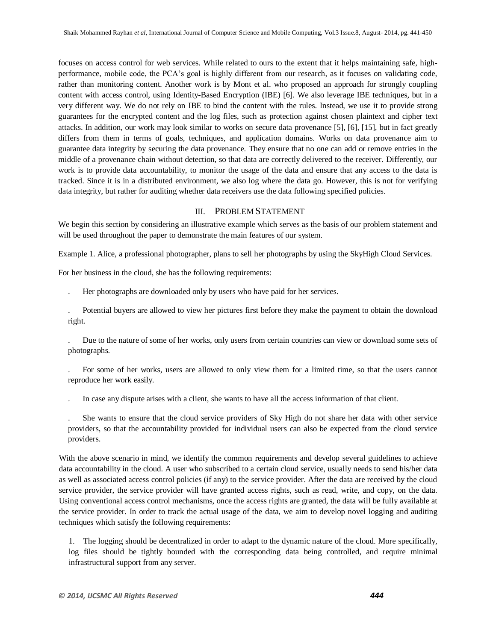focuses on access control for web services. While related to ours to the extent that it helps maintaining safe, highperformance, mobile code, the PCA's goal is highly different from our research, as it focuses on validating code, rather than monitoring content. Another work is by Mont et al. who proposed an approach for strongly coupling content with access control, using Identity-Based Encryption (IBE) [6]. We also leverage IBE techniques, but in a very different way. We do not rely on IBE to bind the content with the rules. Instead, we use it to provide strong guarantees for the encrypted content and the log files, such as protection against chosen plaintext and cipher text attacks. In addition, our work may look similar to works on secure data provenance [5], [6], [15], but in fact greatly differs from them in terms of goals, techniques, and application domains. Works on data provenance aim to guarantee data integrity by securing the data provenance. They ensure that no one can add or remove entries in the middle of a provenance chain without detection, so that data are correctly delivered to the receiver. Differently, our work is to provide data accountability, to monitor the usage of the data and ensure that any access to the data is tracked. Since it is in a distributed environment, we also log where the data go. However, this is not for verifying data integrity, but rather for auditing whether data receivers use the data following specified policies.

# III. PROBLEM STATEMENT

We begin this section by considering an illustrative example which serves as the basis of our problem statement and will be used throughout the paper to demonstrate the main features of our system.

Example 1. Alice, a professional photographer, plans to sell her photographs by using the SkyHigh Cloud Services.

For her business in the cloud, she has the following requirements:

. Her photographs are downloaded only by users who have paid for her services.

. Potential buyers are allowed to view her pictures first before they make the payment to obtain the download right.

. Due to the nature of some of her works, only users from certain countries can view or download some sets of photographs.

. For some of her works, users are allowed to only view them for a limited time, so that the users cannot reproduce her work easily.

. In case any dispute arises with a client, she wants to have all the access information of that client.

. She wants to ensure that the cloud service providers of Sky High do not share her data with other service providers, so that the accountability provided for individual users can also be expected from the cloud service providers.

With the above scenario in mind, we identify the common requirements and develop several guidelines to achieve data accountability in the cloud. A user who subscribed to a certain cloud service, usually needs to send his/her data as well as associated access control policies (if any) to the service provider. After the data are received by the cloud service provider, the service provider will have granted access rights, such as read, write, and copy, on the data. Using conventional access control mechanisms, once the access rights are granted, the data will be fully available at the service provider. In order to track the actual usage of the data, we aim to develop novel logging and auditing techniques which satisfy the following requirements:

1. The logging should be decentralized in order to adapt to the dynamic nature of the cloud. More specifically, log files should be tightly bounded with the corresponding data being controlled, and require minimal infrastructural support from any server.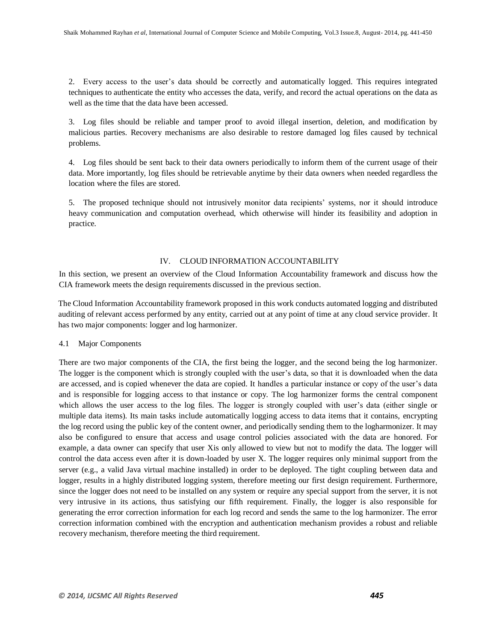2. Every access to the user's data should be correctly and automatically logged. This requires integrated techniques to authenticate the entity who accesses the data, verify, and record the actual operations on the data as well as the time that the data have been accessed.

3. Log files should be reliable and tamper proof to avoid illegal insertion, deletion, and modification by malicious parties. Recovery mechanisms are also desirable to restore damaged log files caused by technical problems.

4. Log files should be sent back to their data owners periodically to inform them of the current usage of their data. More importantly, log files should be retrievable anytime by their data owners when needed regardless the location where the files are stored.

5. The proposed technique should not intrusively monitor data recipients' systems, nor it should introduce heavy communication and computation overhead, which otherwise will hinder its feasibility and adoption in practice.

#### IV. CLOUD INFORMATION ACCOUNTABILITY

In this section, we present an overview of the Cloud Information Accountability framework and discuss how the CIA framework meets the design requirements discussed in the previous section.

The Cloud Information Accountability framework proposed in this work conducts automated logging and distributed auditing of relevant access performed by any entity, carried out at any point of time at any cloud service provider. It has two major components: logger and log harmonizer.

#### 4.1 Major Components

There are two major components of the CIA, the first being the logger, and the second being the log harmonizer. The logger is the component which is strongly coupled with the user's data, so that it is downloaded when the data are accessed, and is copied whenever the data are copied. It handles a particular instance or copy of the user's data and is responsible for logging access to that instance or copy. The log harmonizer forms the central component which allows the user access to the log files. The logger is strongly coupled with user's data (either single or multiple data items). Its main tasks include automatically logging access to data items that it contains, encrypting the log record using the public key of the content owner, and periodically sending them to the logharmonizer. It may also be configured to ensure that access and usage control policies associated with the data are honored. For example, a data owner can specify that user Xis only allowed to view but not to modify the data. The logger will control the data access even after it is down-loaded by user X. The logger requires only minimal support from the server (e.g., a valid Java virtual machine installed) in order to be deployed. The tight coupling between data and logger, results in a highly distributed logging system, therefore meeting our first design requirement. Furthermore, since the logger does not need to be installed on any system or require any special support from the server, it is not very intrusive in its actions, thus satisfying our fifth requirement. Finally, the logger is also responsible for generating the error correction information for each log record and sends the same to the log harmonizer. The error correction information combined with the encryption and authentication mechanism provides a robust and reliable recovery mechanism, therefore meeting the third requirement.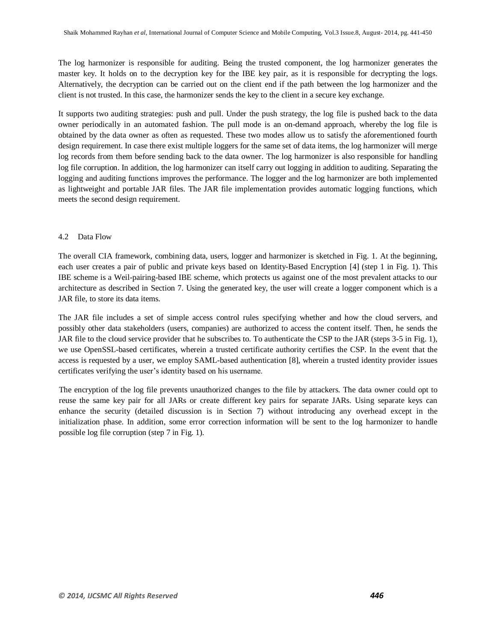The log harmonizer is responsible for auditing. Being the trusted component, the log harmonizer generates the master key. It holds on to the decryption key for the IBE key pair, as it is responsible for decrypting the logs. Alternatively, the decryption can be carried out on the client end if the path between the log harmonizer and the client is not trusted. In this case, the harmonizer sends the key to the client in a secure key exchange.

It supports two auditing strategies: push and pull. Under the push strategy, the log file is pushed back to the data owner periodically in an automated fashion. The pull mode is an on-demand approach, whereby the log file is obtained by the data owner as often as requested. These two modes allow us to satisfy the aforementioned fourth design requirement. In case there exist multiple loggers for the same set of data items, the log harmonizer will merge log records from them before sending back to the data owner. The log harmonizer is also responsible for handling log file corruption. In addition, the log harmonizer can itself carry out logging in addition to auditing. Separating the logging and auditing functions improves the performance. The logger and the log harmonizer are both implemented as lightweight and portable JAR files. The JAR file implementation provides automatic logging functions, which meets the second design requirement.

#### 4.2 Data Flow

The overall CIA framework, combining data, users, logger and harmonizer is sketched in Fig. 1. At the beginning, each user creates a pair of public and private keys based on Identity-Based Encryption [4] (step 1 in Fig. 1). This IBE scheme is a Weil-pairing-based IBE scheme, which protects us against one of the most prevalent attacks to our architecture as described in Section 7. Using the generated key, the user will create a logger component which is a JAR file, to store its data items.

The JAR file includes a set of simple access control rules specifying whether and how the cloud servers, and possibly other data stakeholders (users, companies) are authorized to access the content itself. Then, he sends the JAR file to the cloud service provider that he subscribes to. To authenticate the CSP to the JAR (steps 3-5 in Fig. 1), we use OpenSSL-based certificates, wherein a trusted certificate authority certifies the CSP. In the event that the access is requested by a user, we employ SAML-based authentication [8], wherein a trusted identity provider issues certificates verifying the user's identity based on his username.

The encryption of the log file prevents unauthorized changes to the file by attackers. The data owner could opt to reuse the same key pair for all JARs or create different key pairs for separate JARs. Using separate keys can enhance the security (detailed discussion is in Section 7) without introducing any overhead except in the initialization phase. In addition, some error correction information will be sent to the log harmonizer to handle possible log file corruption (step 7 in Fig. 1).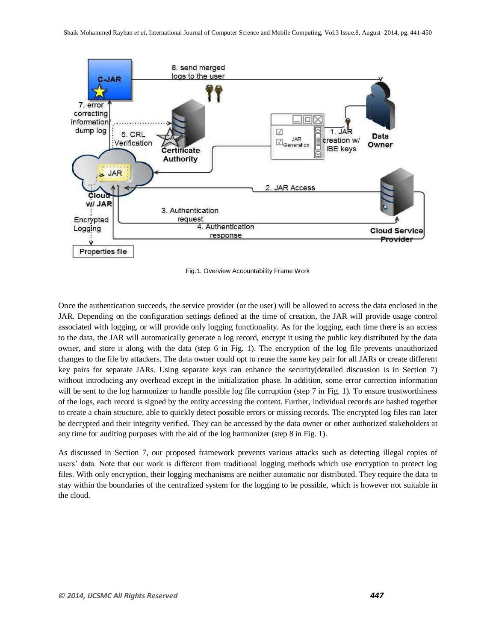

Fig.1. Overview Accountability Frame Work

Once the authentication succeeds, the service provider (or the user) will be allowed to access the data enclosed in the JAR. Depending on the configuration settings defined at the time of creation, the JAR will provide usage control associated with logging, or will provide only logging functionality. As for the logging, each time there is an access to the data, the JAR will automatically generate a log record, encrypt it using the public key distributed by the data owner, and store it along with the data (step 6 in Fig. 1). The encryption of the log file prevents unauthorized changes to the file by attackers. The data owner could opt to reuse the same key pair for all JARs or create different key pairs for separate JARs. Using separate keys can enhance the security(detailed discussion is in Section 7) without introducing any overhead except in the initialization phase. In addition, some error correction information will be sent to the log harmonizer to handle possible log file corruption (step 7 in Fig. 1). To ensure trustworthiness of the logs, each record is signed by the entity accessing the content. Further, individual records are hashed together to create a chain structure, able to quickly detect possible errors or missing records. The encrypted log files can later be decrypted and their integrity verified. They can be accessed by the data owner or other authorized stakeholders at any time for auditing purposes with the aid of the log harmonizer (step 8 in Fig. 1).

As discussed in Section 7, our proposed framework prevents various attacks such as detecting illegal copies of users' data. Note that our work is different from traditional logging methods which use encryption to protect log files. With only encryption, their logging mechanisms are neither automatic nor distributed. They require the data to stay within the boundaries of the centralized system for the logging to be possible, which is however not suitable in the cloud.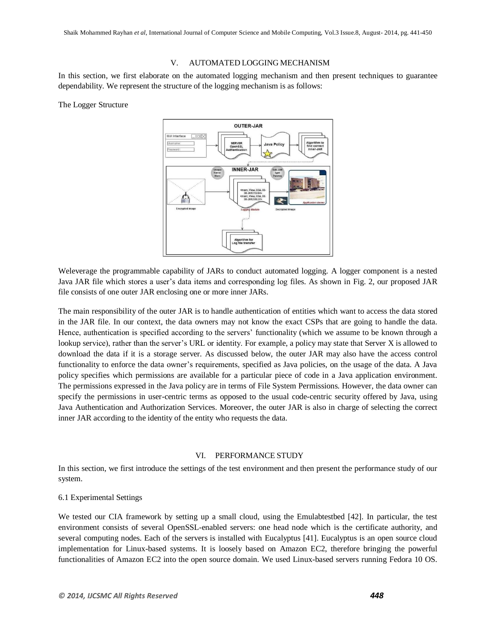### V. AUTOMATED LOGGING MECHANISM

In this section, we first elaborate on the automated logging mechanism and then present techniques to guarantee dependability. We represent the structure of the logging mechanism is as follows:

The Logger Structure



Weleverage the programmable capability of JARs to conduct automated logging. A logger component is a nested Java JAR file which stores a user's data items and corresponding log files. As shown in Fig. 2, our proposed JAR file consists of one outer JAR enclosing one or more inner JARs.

The main responsibility of the outer JAR is to handle authentication of entities which want to access the data stored in the JAR file. In our context, the data owners may not know the exact CSPs that are going to handle the data. Hence, authentication is specified according to the servers' functionality (which we assume to be known through a lookup service), rather than the server's URL or identity. For example, a policy may state that Server X is allowed to download the data if it is a storage server. As discussed below, the outer JAR may also have the access control functionality to enforce the data owner's requirements, specified as Java policies, on the usage of the data. A Java policy specifies which permissions are available for a particular piece of code in a Java application environment. The permissions expressed in the Java policy are in terms of File System Permissions. However, the data owner can specify the permissions in user-centric terms as opposed to the usual code-centric security offered by Java, using Java Authentication and Authorization Services. Moreover, the outer JAR is also in charge of selecting the correct inner JAR according to the identity of the entity who requests the data.

#### VI. PERFORMANCE STUDY

In this section, we first introduce the settings of the test environment and then present the performance study of our system.

#### 6.1 Experimental Settings

We tested our CIA framework by setting up a small cloud, using the Emulabtestbed [42]. In particular, the test environment consists of several OpenSSL-enabled servers: one head node which is the certificate authority, and several computing nodes. Each of the servers is installed with Eucalyptus [41]. Eucalyptus is an open source cloud implementation for Linux-based systems. It is loosely based on Amazon EC2, therefore bringing the powerful functionalities of Amazon EC2 into the open source domain. We used Linux-based servers running Fedora 10 OS.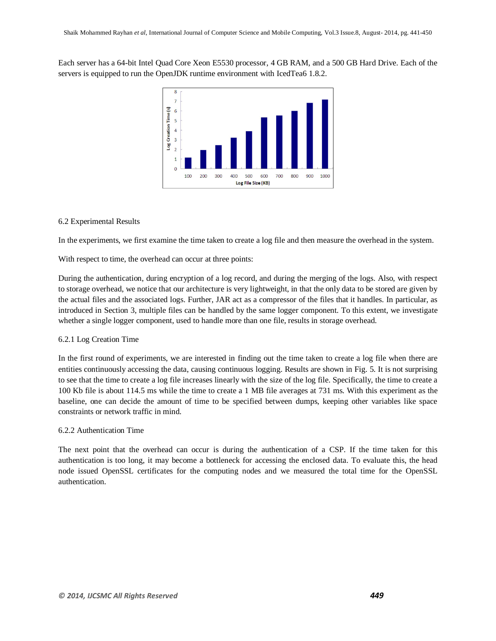Each server has a 64-bit Intel Quad Core Xeon E5530 processor, 4 GB RAM, and a 500 GB Hard Drive. Each of the servers is equipped to run the OpenJDK runtime environment with IcedTea6 1.8.2.



#### 6.2 Experimental Results

In the experiments, we first examine the time taken to create a log file and then measure the overhead in the system.

With respect to time, the overhead can occur at three points:

During the authentication, during encryption of a log record, and during the merging of the logs. Also, with respect to storage overhead, we notice that our architecture is very lightweight, in that the only data to be stored are given by the actual files and the associated logs. Further, JAR act as a compressor of the files that it handles. In particular, as introduced in Section 3, multiple files can be handled by the same logger component. To this extent, we investigate whether a single logger component, used to handle more than one file, results in storage overhead.

#### 6.2.1 Log Creation Time

In the first round of experiments, we are interested in finding out the time taken to create a log file when there are entities continuously accessing the data, causing continuous logging. Results are shown in Fig. 5. It is not surprising to see that the time to create a log file increases linearly with the size of the log file. Specifically, the time to create a 100 Kb file is about 114.5 ms while the time to create a 1 MB file averages at 731 ms. With this experiment as the baseline, one can decide the amount of time to be specified between dumps, keeping other variables like space constraints or network traffic in mind.

#### 6.2.2 Authentication Time

The next point that the overhead can occur is during the authentication of a CSP. If the time taken for this authentication is too long, it may become a bottleneck for accessing the enclosed data. To evaluate this, the head node issued OpenSSL certificates for the computing nodes and we measured the total time for the OpenSSL authentication.